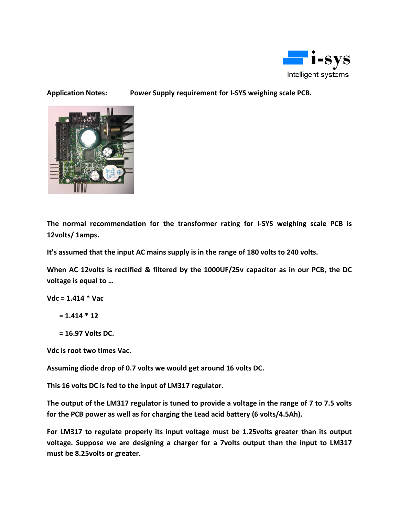

### **Application Notes: Power Supply requirement for I-SYS weighing scale PCB.**



**The normal recommendation for the transformer rating for I-SYS weighing scale PCB is 12volts/ 1amps.** 

**It's assumed that the input AC mains supply is in the range of 180 volts to 240 volts.** 

**When AC 12volts is rectified & filtered by the 1000UF/25v capacitor as in our PCB, the DC voltage is equal to …** 

**Vdc = 1.414 \* Vac** 

```
 = 1.414 * 12
```
 **= 16.97 Volts DC.** 

**Vdc is root two times Vac.** 

**Assuming diode drop of 0.7 volts we would get around 16 volts DC.** 

**This 16 volts DC is fed to the input of LM317 regulator.** 

**The output of the LM317 regulator is tuned to provide a voltage in the range of 7 to 7.5 volts for the PCB power as well as for charging the Lead acid battery (6 volts/4.5Ah).** 

**For LM317 to regulate properly its input voltage must be 1.25volts greater than its output voltage. Suppose we are designing a charger for a 7volts output than the input to LM317 must be 8.25volts or greater.**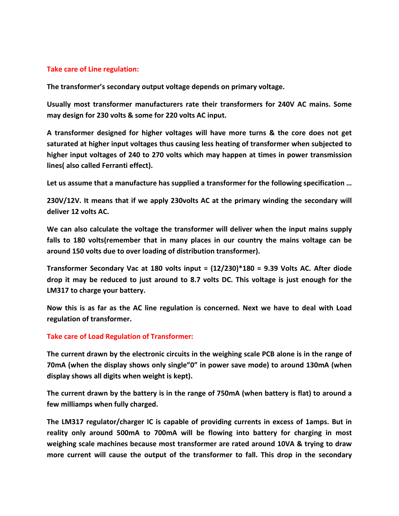### **Take care of Line regulation:**

**The transformer's secondary output voltage depends on primary voltage.** 

**Usually most transformer manufacturers rate their transformers for 240V AC mains. Some may design for 230 volts & some for 220 volts AC input.** 

**A transformer designed for higher voltages will have more turns & the core does not get saturated at higher input voltages thus causing less heating of transformer when subjected to higher input voltages of 240 to 270 volts which may happen at times in power transmission lines( also called Ferranti effect).** 

**Let us assume that a manufacture has supplied a transformer for the following specification …** 

**230V/12V. It means that if we apply 230volts AC at the primary winding the secondary will deliver 12 volts AC.** 

**We can also calculate the voltage the transformer will deliver when the input mains supply falls to 180 volts(remember that in many places in our country the mains voltage can be around 150 volts due to over loading of distribution transformer).** 

**Transformer Secondary Vac at 180 volts input = (12/230)\*180 = 9.39 Volts AC. After diode drop it may be reduced to just around to 8.7 volts DC. This voltage is just enough for the LM317 to charge your battery.** 

**Now this is as far as the AC line regulation is concerned. Next we have to deal with Load regulation of transformer.** 

#### **Take care of Load Regulation of Transformer:**

**The current drawn by the electronic circuits in the weighing scale PCB alone is in the range of 70mA (when the display shows only single"0" in power save mode) to around 130mA (when display shows all digits when weight is kept).** 

**The current drawn by the battery is in the range of 750mA (when battery is flat) to around a few milliamps when fully charged.** 

**The LM317 regulator/charger IC is capable of providing currents in excess of 1amps. But in reality only around 500mA to 700mA will be flowing into battery for charging in most weighing scale machines because most transformer are rated around 10VA & trying to draw more current will cause the output of the transformer to fall. This drop in the secondary**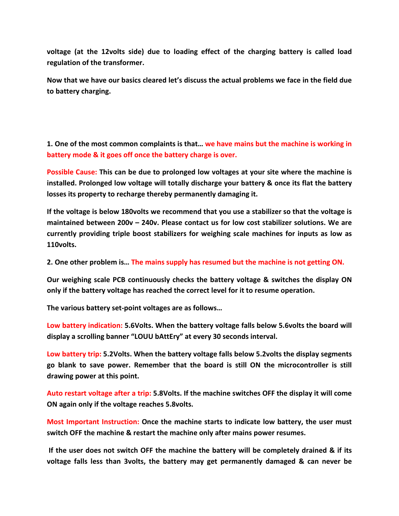**voltage (at the 12volts side) due to loading effect of the charging battery is called load regulation of the transformer.** 

**Now that we have our basics cleared let's discuss the actual problems we face in the field due to battery charging.** 

**1. One of the most common complaints is that… we have mains but the machine is working in battery mode & it goes off once the battery charge is over.**

**Possible Cause: This can be due to prolonged low voltages at your site where the machine is installed. Prolonged low voltage will totally discharge your battery & once its flat the battery losses its property to recharge thereby permanently damaging it.** 

**If the voltage is below 180volts we recommend that you use a stabilizer so that the voltage is maintained between 200v – 240v. Please contact us for low cost stabilizer solutions. We are currently providing triple boost stabilizers for weighing scale machines for inputs as low as 110volts.** 

**2. One other problem is… The mains supply has resumed but the machine is not getting ON.**

**Our weighing scale PCB continuously checks the battery voltage & switches the display ON only if the battery voltage has reached the correct level for it to resume operation.** 

**The various battery set-point voltages are as follows…** 

**Low battery indication: 5.6Volts. When the battery voltage falls below 5.6volts the board will display a scrolling banner "LOUU bAttEry" at every 30 seconds interval.** 

**Low battery trip: 5.2Volts. When the battery voltage falls below 5.2volts the display segments go blank to save power. Remember that the board is still ON the microcontroller is still drawing power at this point.** 

**Auto restart voltage after a trip: 5.8Volts. If the machine switches OFF the display it will come ON again only if the voltage reaches 5.8volts.** 

**Most Important Instruction: Once the machine starts to indicate low battery, the user must switch OFF the machine & restart the machine only after mains power resumes.** 

 **If the user does not switch OFF the machine the battery will be completely drained & if its voltage falls less than 3volts, the battery may get permanently damaged & can never be**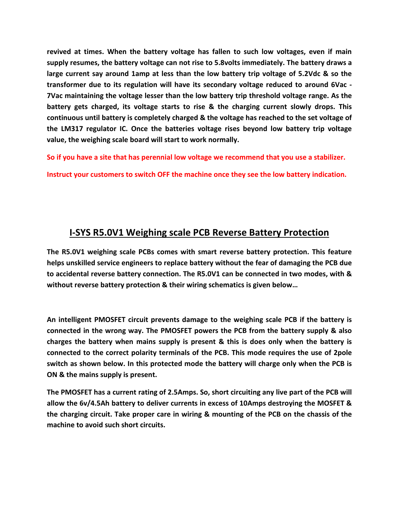**revived at times. When the battery voltage has fallen to such low voltages, even if main supply resumes, the battery voltage can not rise to 5.8volts immediately. The battery draws a large current say around 1amp at less than the low battery trip voltage of 5.2Vdc & so the transformer due to its regulation will have its secondary voltage reduced to around 6Vac - 7Vac maintaining the voltage lesser than the low battery trip threshold voltage range. As the battery gets charged, its voltage starts to rise & the charging current slowly drops. This continuous until battery is completely charged & the voltage has reached to the set voltage of the LM317 regulator IC. Once the batteries voltage rises beyond low battery trip voltage value, the weighing scale board will start to work normally.** 

**So if you have a site that has perennial low voltage we recommend that you use a stabilizer.** 

**Instruct your customers to switch OFF the machine once they see the low battery indication.** 

## **I-SYS R5.0V1 Weighing scale PCB Reverse Battery Protection**

**The R5.0V1 weighing scale PCBs comes with smart reverse battery protection. This feature helps unskilled service engineers to replace battery without the fear of damaging the PCB due to accidental reverse battery connection. The R5.0V1 can be connected in two modes, with & without reverse battery protection & their wiring schematics is given below…** 

**An intelligent PMOSFET circuit prevents damage to the weighing scale PCB if the battery is connected in the wrong way. The PMOSFET powers the PCB from the battery supply & also charges the battery when mains supply is present & this is does only when the battery is connected to the correct polarity terminals of the PCB. This mode requires the use of 2pole switch as shown below. In this protected mode the battery will charge only when the PCB is ON & the mains supply is present.** 

**The PMOSFET has a current rating of 2.5Amps. So, short circuiting any live part of the PCB will allow the 6v/4.5Ah battery to deliver currents in excess of 10Amps destroying the MOSFET & the charging circuit. Take proper care in wiring & mounting of the PCB on the chassis of the machine to avoid such short circuits.**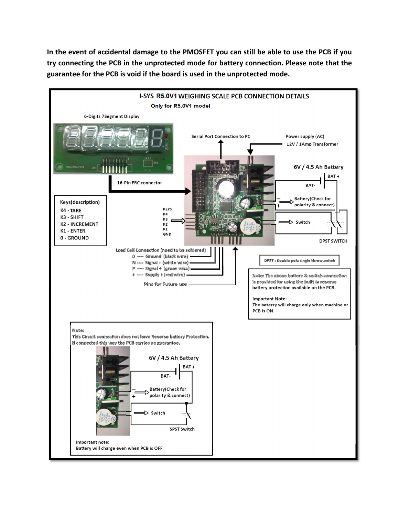**In the event of accidental damage to the PMOSFET you can still be able to use the PCB if you try connecting the PCB in the unprotected mode for battery connection. Please note that the guarantee for the PCB is void if the board is used in the unprotected mode.** 

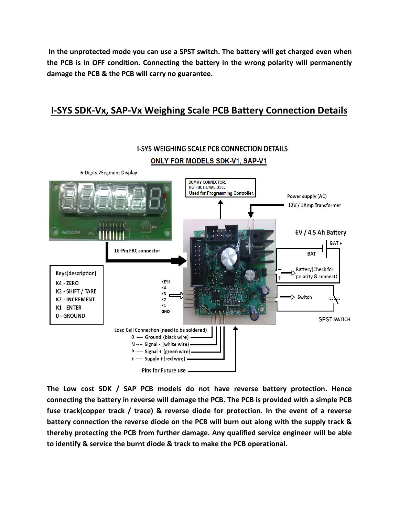**In the unprotected mode you can use a SPST switch. The battery will get charged even when the PCB is in OFF condition. Connecting the battery in the wrong polarity will permanently damage the PCB & the PCB will carry no guarantee.** 

### **I-SYS SDK-Vx, SAP-Vx Weighing Scale PCB Battery Connection Details**



**The Low cost SDK / SAP PCB models do not have reverse battery protection. Hence connecting the battery in reverse will damage the PCB. The PCB is provided with a simple PCB fuse track(copper track / trace) & reverse diode for protection. In the event of a reverse battery connection the reverse diode on the PCB will burn out along with the supply track & thereby protecting the PCB from further damage. Any qualified service engineer will be able to identify & service the burnt diode & track to make the PCB operational.**